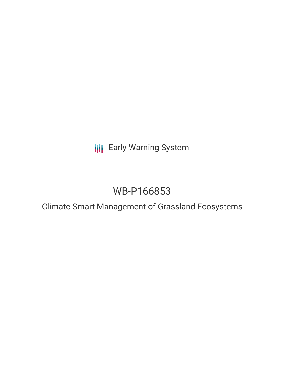**III** Early Warning System

# WB-P166853

Climate Smart Management of Grassland Ecosystems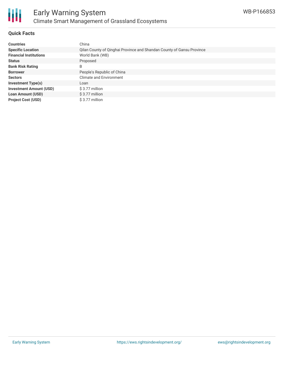

## **Quick Facts**

| <b>Countries</b>               | China                                                                 |
|--------------------------------|-----------------------------------------------------------------------|
| <b>Specific Location</b>       | Qilan County of Qinghai Province and Shandan County of Gansu Province |
| <b>Financial Institutions</b>  | World Bank (WB)                                                       |
| <b>Status</b>                  | Proposed                                                              |
| <b>Bank Risk Rating</b>        | B                                                                     |
| <b>Borrower</b>                | People's Republic of China                                            |
| <b>Sectors</b>                 | <b>Climate and Environment</b>                                        |
| <b>Investment Type(s)</b>      | Loan                                                                  |
| <b>Investment Amount (USD)</b> | \$3.77 million                                                        |
| <b>Loan Amount (USD)</b>       | $$3.77$ million                                                       |
| <b>Project Cost (USD)</b>      | \$3.77 million                                                        |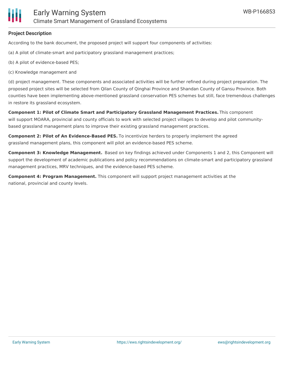

## **Project Description**

According to the bank document, the proposed project will support four components of activities:

(a) A pilot of climate-smart and participatory grassland management practices;

- (b) A pilot of evidence-based PES;
- (c) Knowledge management and

(d) project management. These components and associated activities will be further refined during project preparation. The proposed project sites will be selected from Qilan County of Qinghai Province and Shandan County of Gansu Province. Both counties have been implementing above-mentioned grassland conservation PES schemes but still, face tremendous challenges in restore its grassland ecosystem.

**Component 1: Pilot of Climate Smart and Participatory Grassland Management Practices.** This component will support MOARA, provincial and county officials to work with selected project villages to develop and pilot communitybased grassland management plans to improve their existing grassland management practices.

**Component 2: Pilot of An Evidence-Based PES.** To incentivize herders to properly implement the agreed grassland management plans, this component will pilot an evidence-based PES scheme.

**Component 3: Knowledge Management.** Based on key findings achieved under Components 1 and 2, this Component will support the development of academic publications and policy recommendations on climate-smart and participatory grassland management practices, MRV techniques, and the evidence-based PES scheme.

**Component 4: Program Management.** This component will support project management activities at the national, provincial and county levels.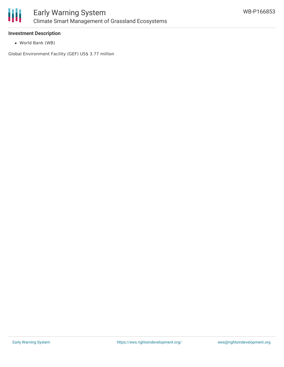

## **Investment Description**

World Bank (WB)

Global Environment Facility (GEF) US\$ 3.77 million